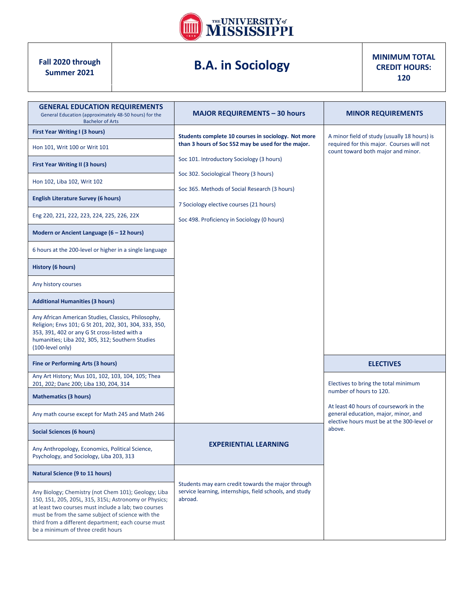

## **B.A. in Sociology**

**MINIMUM TOTAL CREDIT HOURS: 120**

| <b>GENERAL EDUCATION REQUIREMENTS</b><br>General Education (approximately 48-50 hours) for the<br><b>Bachelor of Arts</b>                                                                                                                                                                                               | <b>MAJOR REQUIREMENTS - 30 hours</b>                                                                                     | <b>MINOR REQUIREMENTS</b>                                                                                                       |  |
|-------------------------------------------------------------------------------------------------------------------------------------------------------------------------------------------------------------------------------------------------------------------------------------------------------------------------|--------------------------------------------------------------------------------------------------------------------------|---------------------------------------------------------------------------------------------------------------------------------|--|
| First Year Writing I (3 hours)                                                                                                                                                                                                                                                                                          | Students complete 10 courses in sociology. Not more                                                                      | A minor field of study (usually 18 hours) is<br>required for this major. Courses will not<br>count toward both major and minor. |  |
| Hon 101, Writ 100 or Writ 101                                                                                                                                                                                                                                                                                           | than 3 hours of Soc 552 may be used for the major.                                                                       |                                                                                                                                 |  |
| <b>First Year Writing II (3 hours)</b>                                                                                                                                                                                                                                                                                  | Soc 101. Introductory Sociology (3 hours)                                                                                |                                                                                                                                 |  |
| Hon 102, Liba 102, Writ 102                                                                                                                                                                                                                                                                                             | Soc 302. Sociological Theory (3 hours)<br>Soc 365. Methods of Social Research (3 hours)                                  |                                                                                                                                 |  |
| <b>English Literature Survey (6 hours)</b>                                                                                                                                                                                                                                                                              | 7 Sociology elective courses (21 hours)                                                                                  |                                                                                                                                 |  |
| Eng 220, 221, 222, 223, 224, 225, 226, 22X                                                                                                                                                                                                                                                                              | Soc 498. Proficiency in Sociology (0 hours)                                                                              |                                                                                                                                 |  |
| Modern or Ancient Language $(6 - 12$ hours)                                                                                                                                                                                                                                                                             |                                                                                                                          |                                                                                                                                 |  |
| 6 hours at the 200-level or higher in a single language                                                                                                                                                                                                                                                                 |                                                                                                                          |                                                                                                                                 |  |
| <b>History (6 hours)</b>                                                                                                                                                                                                                                                                                                |                                                                                                                          |                                                                                                                                 |  |
| Any history courses                                                                                                                                                                                                                                                                                                     |                                                                                                                          |                                                                                                                                 |  |
| <b>Additional Humanities (3 hours)</b>                                                                                                                                                                                                                                                                                  |                                                                                                                          |                                                                                                                                 |  |
| Any African American Studies, Classics, Philosophy,<br>Religion; Envs 101; G St 201, 202, 301, 304, 333, 350,<br>353, 391, 402 or any G St cross-listed with a<br>humanities; Liba 202, 305, 312; Southern Studies<br>(100-level only)                                                                                  |                                                                                                                          |                                                                                                                                 |  |
| <b>Fine or Performing Arts (3 hours)</b>                                                                                                                                                                                                                                                                                |                                                                                                                          | <b>ELECTIVES</b>                                                                                                                |  |
| Any Art History; Mus 101, 102, 103, 104, 105; Thea<br>201, 202; Danc 200; Liba 130, 204, 314                                                                                                                                                                                                                            |                                                                                                                          | Electives to bring the total minimum                                                                                            |  |
| <b>Mathematics (3 hours)</b>                                                                                                                                                                                                                                                                                            |                                                                                                                          | number of hours to 120.<br>At least 40 hours of coursework in the                                                               |  |
| Any math course except for Math 245 and Math 246                                                                                                                                                                                                                                                                        |                                                                                                                          | general education, major, minor, and<br>elective hours must be at the 300-level or                                              |  |
| <b>Social Sciences (6 hours)</b>                                                                                                                                                                                                                                                                                        |                                                                                                                          | above.                                                                                                                          |  |
| Any Anthropology, Economics, Political Science,<br>Psychology, and Sociology, Liba 203, 313                                                                                                                                                                                                                             | <b>EXPERIENTIAL LEARNING</b>                                                                                             |                                                                                                                                 |  |
| Natural Science (9 to 11 hours)                                                                                                                                                                                                                                                                                         |                                                                                                                          |                                                                                                                                 |  |
| Any Biology; Chemistry (not Chem 101); Geology; Liba<br>150, 151, 205, 205L, 315, 315L; Astronomy or Physics;<br>at least two courses must include a lab; two courses<br>must be from the same subject of science with the<br>third from a different department; each course must<br>be a minimum of three credit hours | Students may earn credit towards the major through<br>service learning, internships, field schools, and study<br>abroad. |                                                                                                                                 |  |